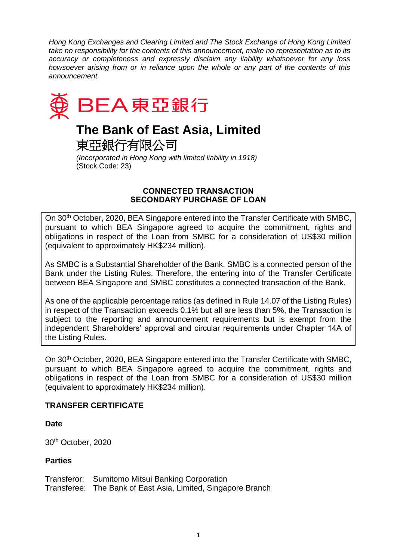*Hong Kong Exchanges and Clearing Limited and The Stock Exchange of Hong Kong Limited take no responsibility for the contents of this announcement, make no representation as to its accuracy or completeness and expressly disclaim any liability whatsoever for any loss howsoever arising from or in reliance upon the whole or any part of the contents of this announcement.*



# **The Bank of East Asia, Limited**

東亞銀行有限公司

*(Incorporated in Hong Kong with limited liability in 1918)* (Stock Code: 23)

### **CONNECTED TRANSACTION SECONDARY PURCHASE OF LOAN**

On 30th October, 2020, BEA Singapore entered into the Transfer Certificate with SMBC, pursuant to which BEA Singapore agreed to acquire the commitment, rights and obligations in respect of the Loan from SMBC for a consideration of US\$30 million (equivalent to approximately HK\$234 million).

As SMBC is a Substantial Shareholder of the Bank, SMBC is a connected person of the Bank under the Listing Rules. Therefore, the entering into of the Transfer Certificate between BEA Singapore and SMBC constitutes a connected transaction of the Bank.

As one of the applicable percentage ratios (as defined in Rule 14.07 of the Listing Rules) in respect of the Transaction exceeds 0.1% but all are less than 5%, the Transaction is subject to the reporting and announcement requirements but is exempt from the independent Shareholders' approval and circular requirements under Chapter 14A of the Listing Rules.

On 30th October, 2020, BEA Singapore entered into the Transfer Certificate with SMBC, pursuant to which BEA Singapore agreed to acquire the commitment, rights and obligations in respect of the Loan from SMBC for a consideration of US\$30 million (equivalent to approximately HK\$234 million).

# **TRANSFER CERTIFICATE**

**Date** 

30th October, 2020

# **Parties**

Transferor: Sumitomo Mitsui Banking Corporation Transferee: The Bank of East Asia, Limited, Singapore Branch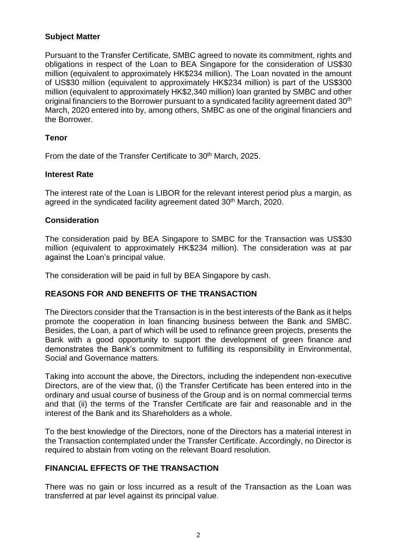## **Subject Matter**

Pursuant to the Transfer Certificate, SMBC agreed to novate its commitment, rights and obligations in respect of the Loan to BEA Singapore for the consideration of US\$30 million (equivalent to approximately HK\$234 million). The Loan novated in the amount of US\$30 million (equivalent to approximately HK\$234 million) is part of the US\$300 million (equivalent to approximately HK\$2,340 million) loan granted by SMBC and other original financiers to the Borrower pursuant to a syndicated facility agreement dated 30<sup>th</sup> March, 2020 entered into by, among others, SMBC as one of the original financiers and the Borrower.

## **Tenor**

From the date of the Transfer Certificate to 30<sup>th</sup> March, 2025.

## **Interest Rate**

The interest rate of the Loan is LIBOR for the relevant interest period plus a margin, as agreed in the syndicated facility agreement dated 30<sup>th</sup> March, 2020.

## **Consideration**

The consideration paid by BEA Singapore to SMBC for the Transaction was US\$30 million (equivalent to approximately HK\$234 million). The consideration was at par against the Loan's principal value.

The consideration will be paid in full by BEA Singapore by cash.

# **REASONS FOR AND BENEFITS OF THE TRANSACTION**

The Directors consider that the Transaction is in the best interests of the Bank as it helps promote the cooperation in loan financing business between the Bank and SMBC. Besides, the Loan, a part of which will be used to refinance green projects, presents the Bank with a good opportunity to support the development of green finance and demonstrates the Bank's commitment to fulfilling its responsibility in Environmental, Social and Governance matters.

Taking into account the above, the Directors, including the independent non-executive Directors, are of the view that, (i) the Transfer Certificate has been entered into in the ordinary and usual course of business of the Group and is on normal commercial terms and that (ii) the terms of the Transfer Certificate are fair and reasonable and in the interest of the Bank and its Shareholders as a whole.

To the best knowledge of the Directors, none of the Directors has a material interest in the Transaction contemplated under the Transfer Certificate. Accordingly, no Director is required to abstain from voting on the relevant Board resolution.

### **FINANCIAL EFFECTS OF THE TRANSACTION**

There was no gain or loss incurred as a result of the Transaction as the Loan was transferred at par level against its principal value.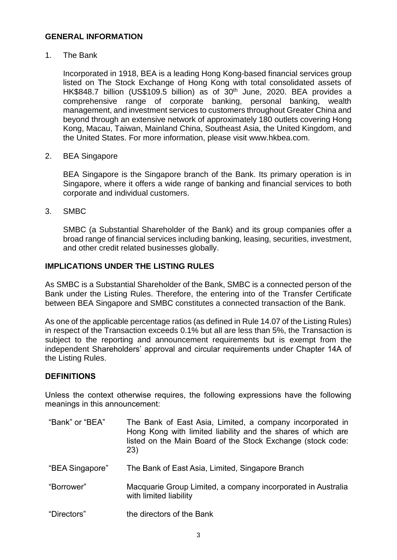#### **GENERAL INFORMATION**

1. The Bank

Incorporated in 1918, BEA is a leading Hong Kong-based financial services group listed on The Stock Exchange of Hong Kong with total consolidated assets of HK\$848.7 billion (US\$109.5 billion) as of  $30<sup>th</sup>$  June, 2020. BEA provides a comprehensive range of corporate banking, personal banking, wealth management, and investment services to customers throughout Greater China and beyond through an extensive network of approximately 180 outlets covering Hong Kong, Macau, Taiwan, Mainland China, Southeast Asia, the United Kingdom, and the United States. For more information, please visit www.hkbea.com.

2. BEA Singapore

BEA Singapore is the Singapore branch of the Bank. Its primary operation is in Singapore, where it offers a wide range of banking and financial services to both corporate and individual customers.

3. SMBC

SMBC (a Substantial Shareholder of the Bank) and its group companies offer a broad range of financial services including banking, leasing, securities, investment, and other credit related businesses globally.

### **IMPLICATIONS UNDER THE LISTING RULES**

As SMBC is a Substantial Shareholder of the Bank, SMBC is a connected person of the Bank under the Listing Rules. Therefore, the entering into of the Transfer Certificate between BEA Singapore and SMBC constitutes a connected transaction of the Bank.

As one of the applicable percentage ratios (as defined in Rule 14.07 of the Listing Rules) in respect of the Transaction exceeds 0.1% but all are less than 5%, the Transaction is subject to the reporting and announcement requirements but is exempt from the independent Shareholders' approval and circular requirements under Chapter 14A of the Listing Rules.

#### **DEFINITIONS**

Unless the context otherwise requires, the following expressions have the following meanings in this announcement:

- "Bank" or "BEA" The Bank of East Asia, Limited, a company incorporated in Hong Kong with limited liability and the shares of which are listed on the Main Board of the Stock Exchange (stock code: 23)
- "BEA Singapore" The Bank of East Asia, Limited, Singapore Branch
- "Borrower" Macquarie Group Limited, a company incorporated in Australia with limited liability
- "Directors" the directors of the Bank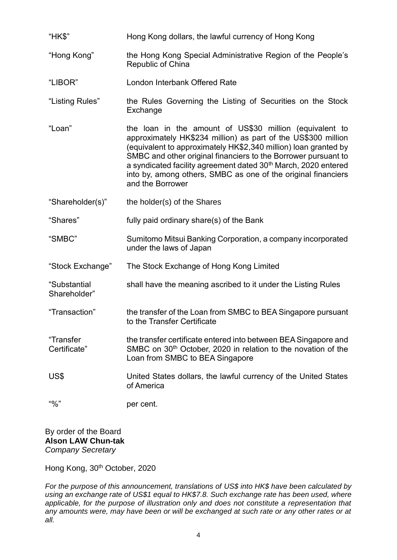| "HK\$"                       | Hong Kong dollars, the lawful currency of Hong Kong                                                                                                                                                                                                                                                                                                                                                                              |
|------------------------------|----------------------------------------------------------------------------------------------------------------------------------------------------------------------------------------------------------------------------------------------------------------------------------------------------------------------------------------------------------------------------------------------------------------------------------|
| "Hong Kong"                  | the Hong Kong Special Administrative Region of the People's<br>Republic of China                                                                                                                                                                                                                                                                                                                                                 |
| "LIBOR"                      | London Interbank Offered Rate                                                                                                                                                                                                                                                                                                                                                                                                    |
| "Listing Rules"              | the Rules Governing the Listing of Securities on the Stock<br>Exchange                                                                                                                                                                                                                                                                                                                                                           |
| "Loan"                       | the loan in the amount of US\$30 million (equivalent to<br>approximately HK\$234 million) as part of the US\$300 million<br>(equivalent to approximately HK\$2,340 million) loan granted by<br>SMBC and other original financiers to the Borrower pursuant to<br>a syndicated facility agreement dated 30 <sup>th</sup> March, 2020 entered<br>into by, among others, SMBC as one of the original financiers<br>and the Borrower |
| "Shareholder(s)"             | the holder(s) of the Shares                                                                                                                                                                                                                                                                                                                                                                                                      |
| "Shares"                     | fully paid ordinary share(s) of the Bank                                                                                                                                                                                                                                                                                                                                                                                         |
| "SMBC"                       | Sumitomo Mitsui Banking Corporation, a company incorporated<br>under the laws of Japan                                                                                                                                                                                                                                                                                                                                           |
| "Stock Exchange"             | The Stock Exchange of Hong Kong Limited                                                                                                                                                                                                                                                                                                                                                                                          |
| "Substantial<br>Shareholder" | shall have the meaning ascribed to it under the Listing Rules                                                                                                                                                                                                                                                                                                                                                                    |
| "Transaction"                | the transfer of the Loan from SMBC to BEA Singapore pursuant<br>to the Transfer Certificate                                                                                                                                                                                                                                                                                                                                      |
| "Transfer<br>Certificate"    | the transfer certificate entered into between BEA Singapore and<br>SMBC on 30 <sup>th</sup> October, 2020 in relation to the novation of the<br>Loan from SMBC to BEA Singapore                                                                                                                                                                                                                                                  |
| US\$                         | United States dollars, the lawful currency of the United States<br>of America                                                                                                                                                                                                                                                                                                                                                    |
| 40/2                         | per cent.                                                                                                                                                                                                                                                                                                                                                                                                                        |

By order of the Board **Alson LAW Chun-tak** *Company Secretary*

Hong Kong, 30<sup>th</sup> October, 2020

*For the purpose of this announcement, translations of US\$ into HK\$ have been calculated by using an exchange rate of US\$1 equal to HK\$7.8. Such exchange rate has been used, where applicable, for the purpose of illustration only and does not constitute a representation that any amounts were, may have been or will be exchanged at such rate or any other rates or at all.*